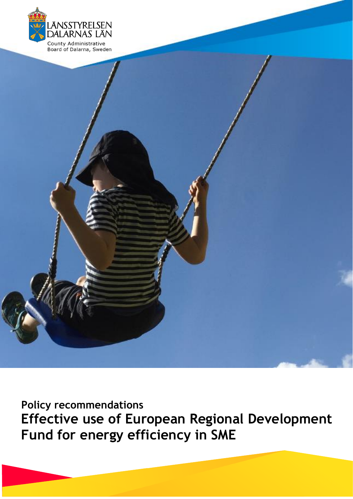

**Policy recommendations Effective use of European Regional Development Fund for energy efficiency in SME**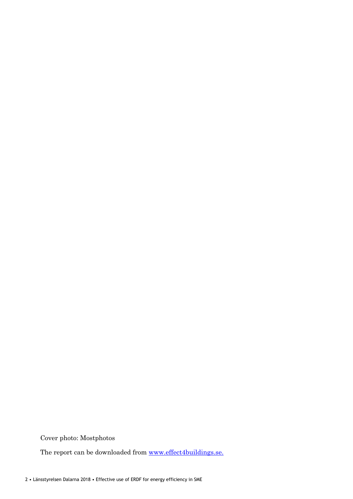Cover photo: Mostphotos

The report can be downloaded from [www.effect4buildings.se.](http://www.effect4buildings.se/)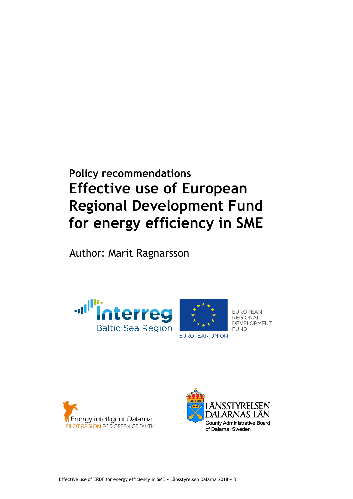# **Policy recommendations Effective use of European Regional Development Fund for energy efficiency in SME**

Author: Marit Ragnarsson





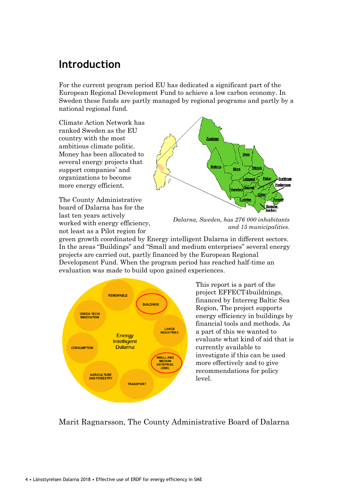# **Introduction**

For the current program period EU has dedicated a significant part of the European Regional Development Fund to achieve a low carbon economy. In Sweden these funds are partly managed by regional programs and partly by a national regional fund.

Climate Action Network has ranked Sweden as the EU country with the most ambitious climate politic. Money has been allocated to several energy projects that support companies' and organizations to become more energy efficient.

The County Administrative board of Dalarna has for the last ten years actively worked with energy efficiency, not least as a Pilot region for



Oras

**eksand** 

Ľudvika

Mora

.<br>Rativil

Fatur

Borlânge

.<br>Hedemona

Älvdale

Malung

green growth coordinated by Energy intelligent Dalarna in different sectors. In the areas "Buildings" and "Small and medium enterprises" several energy projects are carried out, partly financed by the European Regional Development Fund. When the program period has reached half-time an evaluation was made to build upon gained experiences.



This report is a part of the project EFFECT4buildnings, financed by Interreg Baltic Sea Region, The project supports energy efficiency in buildings by financial tools and methods. As a part of this we wanted to evaluate what kind of aid that is currently available to investigate if this can be used more effectively and to give recommendations for policy level.

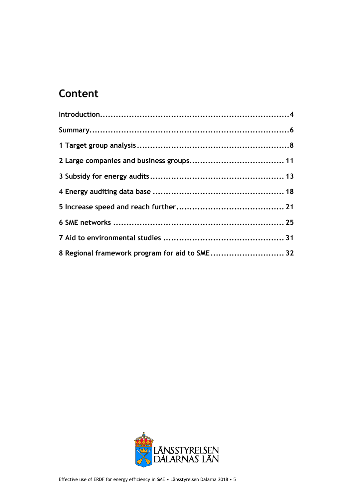# **Content**

| 8 Regional framework program for aid to SME 32 |  |
|------------------------------------------------|--|

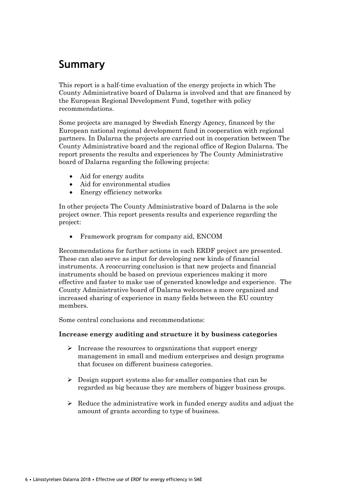# **Summary**

This report is a half-time evaluation of the energy projects in which The County Administrative board of Dalarna is involved and that are financed by the European Regional Development Fund, together with policy recommendations.

Some projects are managed by Swedish Energy Agency, financed by the European national regional development fund in cooperation with regional partners. In Dalarna the projects are carried out in cooperation between The County Administrative board and the regional office of Region Dalarna. The report presents the results and experiences by The County Administrative board of Dalarna regarding the following projects:

- Aid for energy audits
- Aid for environmental studies
- Energy efficiency networks

In other projects The County Administrative board of Dalarna is the sole project owner. This report presents results and experience regarding the project:

• Framework program for company aid, ENCOM

Recommendations for further actions in each ERDF project are presented. These can also serve as input for developing new kinds of financial instruments. A reoccurring conclusion is that new projects and financial instruments should be based on previous experiences making it more effective and faster to make use of generated knowledge and experience. The County Administrative board of Dalarna welcomes a more organized and increased sharing of experience in many fields between the EU country members.

Some central conclusions and recommendations:

## **Increase energy auditing and structure it by business categories**

- ➢ Increase the resources to organizations that support energy management in small and medium enterprises and design programs that focuses on different business categories.
- $\triangleright$  Design support systems also for smaller companies that can be regarded as big because they are members of bigger business groups.
- $\triangleright$  Reduce the administrative work in funded energy audits and adjust the amount of grants according to type of business.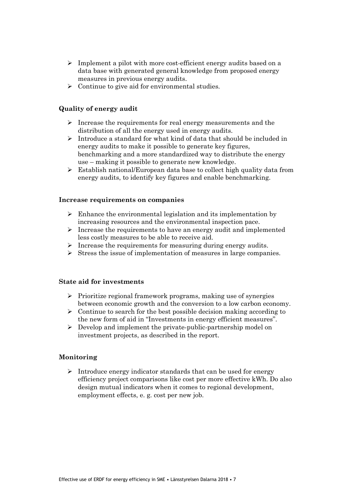- ➢ Implement a pilot with more cost-efficient energy audits based on a data base with generated general knowledge from proposed energy measures in previous energy audits.
- $\triangleright$  Continue to give aid for environmental studies.

## **Quality of energy audit**

- $\triangleright$  Increase the requirements for real energy measurements and the distribution of all the energy used in energy audits.
- ➢ Introduce a standard for what kind of data that should be included in energy audits to make it possible to generate key figures, benchmarking and a more standardized way to distribute the energy use – making it possible to generate new knowledge.
- ➢ Establish national/European data base to collect high quality data from energy audits, to identify key figures and enable benchmarking.

#### **Increase requirements on companies**

- $\triangleright$  Enhance the environmental legislation and its implementation by increasing resources and the environmental inspection pace.
- ➢ Increase the requirements to have an energy audit and implemented less costly measures to be able to receive aid.
- ➢ Increase the requirements for measuring during energy audits.
- ➢ Stress the issue of implementation of measures in large companies.

## **State aid for investments**

- ➢ Prioritize regional framework programs, making use of synergies between economic growth and the conversion to a low carbon economy.
- $\triangleright$  Continue to search for the best possible decision making according to the new form of aid in "Investments in energy efficient measures".
- ➢ Develop and implement the private-public-partnership model on investment projects, as described in the report.

#### **Monitoring**

➢ Introduce energy indicator standards that can be used for energy efficiency project comparisons like cost per more effective kWh. Do also design mutual indicators when it comes to regional development, employment effects, e. g. cost per new job.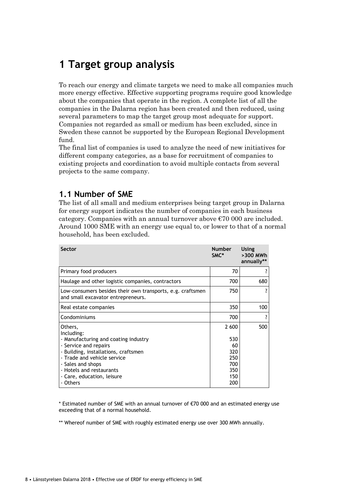# **1 Target group analysis**

To reach our energy and climate targets we need to make all companies much more energy effective. Effective supporting programs require good knowledge about the companies that operate in the region. A complete list of all the companies in the Dalarna region has been created and then reduced, using several parameters to map the target group most adequate for support. Companies not regarded as small or medium has been excluded, since in Sweden these cannot be supported by the European Regional Development fund.

The final list of companies is used to analyze the need of new initiatives for different company categories, as a base for recruitment of companies to existing projects and coordination to avoid multiple contacts from several projects to the same company.

## **1.1 Number of SME**

The list of all small and medium enterprises being target group in Dalarna for energy support indicates the number of companies in each business category. Companies with an annual turnover above  $\epsilon$ 70 000 are included. Around 1000 SME with an energy use equal to, or lower to that of a normal household, has been excluded.

| <b>Sector</b>                                                                                    | <b>Number</b><br>SMC* | Using<br>>300 MWh<br>annually** |
|--------------------------------------------------------------------------------------------------|-----------------------|---------------------------------|
| Primary food producers                                                                           | 70                    |                                 |
| Haulage and other logistic companies, contractors                                                | 700                   | 680                             |
| Low-consumers besides their own transports, e.g. craftsmen<br>and small excavator entrepreneurs. | 750                   |                                 |
| Real estate companies                                                                            | 350                   | 100                             |
| Condominiums                                                                                     | 700                   |                                 |
| Others,<br>Including:                                                                            | 2 600                 | 500                             |
| - Manufacturing and coating industry                                                             | 530                   |                                 |
| - Service and repairs<br>- Building, installations, craftsmen                                    | 60<br>320             |                                 |
| - Trade and vehicle service                                                                      | 250                   |                                 |
| - Sales and shops                                                                                | 700                   |                                 |
| - Hotels and restaurants                                                                         | 350                   |                                 |
| - Care, education, leisure                                                                       | 150                   |                                 |
| - Others                                                                                         | 200                   |                                 |

\* Estimated number of SME with an annual turnover of €70 000 and an estimated energy use exceeding that of a normal household.

\*\* Whereof number of SME with roughly estimated energy use over 300 MWh annually.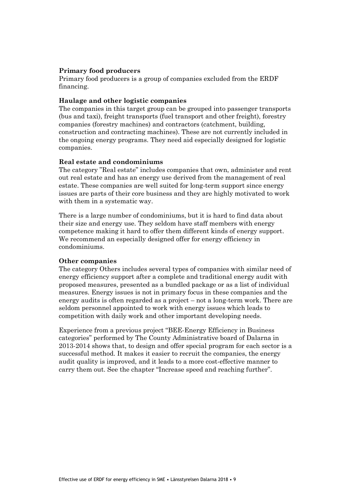## **Primary food producers**

Primary food producers is a group of companies excluded from the ERDF financing.

### **Haulage and other logistic companies**

The companies in this target group can be grouped into passenger transports (bus and taxi), freight transports (fuel transport and other freight), forestry companies (forestry machines) and contractors (catchment, building, construction and contracting machines). These are not currently included in the ongoing energy programs. They need aid especially designed for logistic companies.

## **Real estate and condominiums**

The category "Real estate" includes companies that own, administer and rent out real estate and has an energy use derived from the management of real estate. These companies are well suited for long-term support since energy issues are parts of their core business and they are highly motivated to work with them in a systematic way.

There is a large number of condominiums, but it is hard to find data about their size and energy use. They seldom have staff members with energy competence making it hard to offer them different kinds of energy support. We recommend an especially designed offer for energy efficiency in condominiums.

### **Other companies**

The category Others includes several types of companies with similar need of energy efficiency support after a complete and traditional energy audit with proposed measures, presented as a bundled package or as a list of individual measures. Energy issues is not in primary focus in these companies and the energy audits is often regarded as a project – not a long-term work. There are seldom personnel appointed to work with energy issues which leads to competition with daily work and other important developing needs.

Experience from a previous project "BEE-Energy Efficiency in Business categories" performed by The County Administrative board of Dalarna in 2013-2014 shows that, to design and offer special program for each sector is a successful method. It makes it easier to recruit the companies, the energy audit quality is improved, and it leads to a more cost-effective manner to carry them out. See the chapter "Increase speed and reaching further".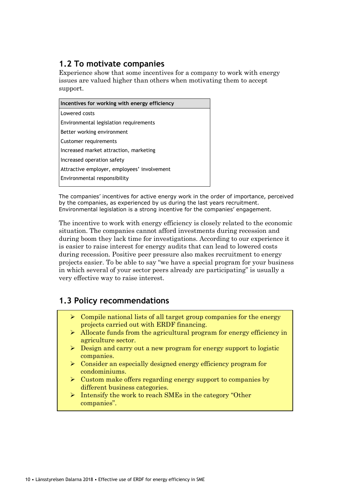# **1.2 To motivate companies**

Experience show that some incentives for a company to work with energy issues are valued higher than others when motivating them to accept support.

| Incentives for working with energy efficiency |  |  |  |  |
|-----------------------------------------------|--|--|--|--|
| Lowered costs                                 |  |  |  |  |
| Environmental legislation requirements        |  |  |  |  |
| Better working environment                    |  |  |  |  |
| Customer requirements                         |  |  |  |  |
| Increased market attraction, marketing        |  |  |  |  |
| Increased operation safety                    |  |  |  |  |
| Attractive employer, employees' involvement   |  |  |  |  |
| Environmental responsibility                  |  |  |  |  |
|                                               |  |  |  |  |

The companies' incentives for active energy work in the order of importance, perceived by the companies, as experienced by us during the last years recruitment. Environmental legislation is a strong incentive for the companies' engagement.

The incentive to work with energy efficiency is closely related to the economic situation. The companies cannot afford investments during recession and during boom they lack time for investigations. According to our experience it is easier to raise interest for energy audits that can lead to lowered costs during recession. Positive peer pressure also makes recruitment to energy projects easier. To be able to say "we have a special program for your business in which several of your sector peers already are participating" is usually a very effective way to raise interest.

## **1.3 Policy recommendations**

- $\triangleright$  Compile national lists of all target group companies for the energy projects carried out with ERDF financing.
- ➢ Allocate funds from the agricultural program for energy efficiency in agriculture sector.
- ➢ Design and carry out a new program for energy support to logistic companies.
- ➢ Consider an especially designed energy efficiency program for condominiums.
- $\triangleright$  Custom make offers regarding energy support to companies by different business categories.
- ➢ Intensify the work to reach SMEs in the category "Other companies".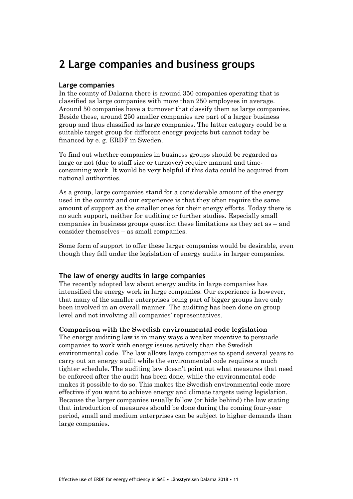# **2 Large companies and business groups**

## **Large companies**

In the county of Dalarna there is around 350 companies operating that is classified as large companies with more than 250 employees in average. Around 50 companies have a turnover that classify them as large companies. Beside these, around 250 smaller companies are part of a larger business group and thus classified as large companies. The latter category could be a suitable target group for different energy projects but cannot today be financed by e. g. ERDF in Sweden.

To find out whether companies in business groups should be regarded as large or not (due to staff size or turnover) require manual and timeconsuming work. It would be very helpful if this data could be acquired from national authorities.

As a group, large companies stand for a considerable amount of the energy used in the county and our experience is that they often require the same amount of support as the smaller ones for their energy efforts. Today there is no such support, neither for auditing or further studies. Especially small companies in business groups question these limitations as they act as – and consider themselves – as small companies.

Some form of support to offer these larger companies would be desirable, even though they fall under the legislation of energy audits in larger companies.

### **The law of energy audits in large companies**

The recently adopted law about energy audits in large companies has intensified the energy work in large companies. Our experience is however, that many of the smaller enterprises being part of bigger groups have only been involved in an overall manner. The auditing has been done on group level and not involving all companies' representatives.

### **Comparison with the Swedish environmental code legislation**

The energy auditing law is in many ways a weaker incentive to persuade companies to work with energy issues actively than the Swedish environmental code. The law allows large companies to spend several years to carry out an energy audit while the environmental code requires a much tighter schedule. The auditing law doesn't point out what measures that need be enforced after the audit has been done, while the environmental code makes it possible to do so. This makes the Swedish environmental code more effective if you want to achieve energy and climate targets using legislation. Because the larger companies usually follow (or hide behind) the law stating that introduction of measures should be done during the coming four-year period, small and medium enterprises can be subject to higher demands than large companies.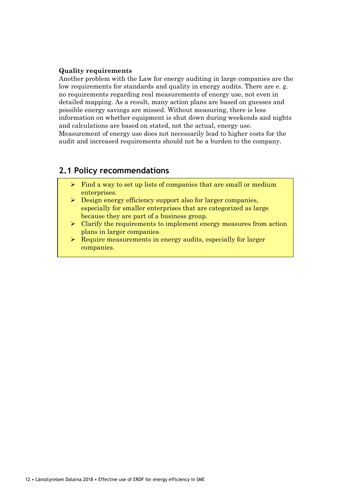## **Quality requirements**

Another problem with the Law for energy auditing in large companies are the low requirements for standards and quality in energy audits. There are e. g. no requirements regarding real measurements of energy use, not even in detailed mapping. As a result, many action plans are based on guesses and possible energy savings are missed. Without measuring, there is less information on whether equipment is shut down during weekends and nights and calculations are based on stated, not the actual, energy use. Measurement of energy use does not necessarily lead to higher costs for the audit and increased requirements should not be a burden to the company.

## **2.1 Policy recommendations**

- $\triangleright$  Find a way to set up lists of companies that are small or medium enterprises.
- ➢ Design energy efficiency support also for larger companies, especially for smaller enterprises that are categorized as large because they are part of a business group.
- ➢ Clarify the requirements to implement energy measures from action plans in larger companies.
- ➢ Require measurements in energy audits, especially for larger companies.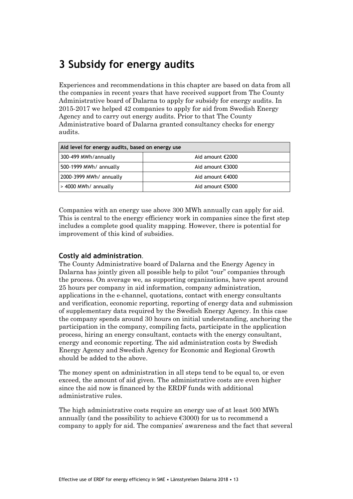# **3 Subsidy for energy audits**

Experiences and recommendations in this chapter are based on data from all the companies in recent years that have received support from The County Administrative board of Dalarna to apply for subsidy for energy audits. In 2015-2017 we helped 42 companies to apply for aid from Swedish Energy Agency and to carry out energy audits. Prior to that The County Administrative board of Dalarna granted consultancy checks for energy audits.

| Aid level for energy audits, based on energy use |                  |  |  |
|--------------------------------------------------|------------------|--|--|
| 300-499 MWh/annually                             | Aid amount €2000 |  |  |
| 500-1999 MWh/ annually                           | Aid amount €3000 |  |  |
| 2000-3999 MWh/ annually                          | Aid amount €4000 |  |  |
| > 4000 MWh/ annually                             | Aid amount €5000 |  |  |

Companies with an energy use above 300 MWh annually can apply for aid. This is central to the energy efficiency work in companies since the first step includes a complete good quality mapping. However, there is potential for improvement of this kind of subsidies.

## **Costly aid administration**.

The County Administrative board of Dalarna and the Energy Agency in Dalarna has jointly given all possible help to pilot "our" companies through the process. On average we, as supporting organizations, have spent around 25 hours per company in aid information, company administration, applications in the e-channel, quotations, contact with energy consultants and verification, economic reporting, reporting of energy data and submission of supplementary data required by the Swedish Energy Agency. In this case the company spends around 30 hours on initial understanding, anchoring the participation in the company, compiling facts, participate in the application process, hiring an energy consultant, contacts with the energy consultant, energy and economic reporting. The aid administration costs by Swedish Energy Agency and Swedish Agency for Economic and Regional Growth should be added to the above.

The money spent on administration in all steps tend to be equal to, or even exceed, the amount of aid given. The administrative costs are even higher since the aid now is financed by the ERDF funds with additional administrative rules.

The high administrative costs require an energy use of at least 500 MWh annually (and the possibility to achieve  $\epsilon$ 3000) for us to recommend a company to apply for aid. The companies' awareness and the fact that several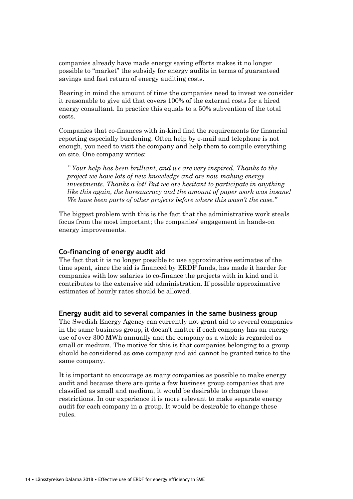companies already have made energy saving efforts makes it no longer possible to "market" the subsidy for energy audits in terms of guaranteed savings and fast return of energy auditing costs.

Bearing in mind the amount of time the companies need to invest we consider it reasonable to give aid that covers 100% of the external costs for a hired energy consultant. In practice this equals to a 50% subvention of the total costs.

Companies that co-finances with in-kind find the requirements for financial reporting especially burdening. Often help by e-mail and telephone is not enough, you need to visit the company and help them to compile everything on site. One company writes:

*" Your help has been brilliant, and we are very inspired. Thanks to the project we have lots of new knowledge and are now making energy investments. Thanks a lot! But we are hesitant to participate in anything like this again, the bureaucracy and the amount of paper work was insane! We have been parts of other projects before where this wasn't the case."*

The biggest problem with this is the fact that the administrative work steals focus from the most important; the companies' engagement in hands-on energy improvements.

### **Co-financing of energy audit aid**

The fact that it is no longer possible to use approximative estimates of the time spent, since the aid is financed by ERDF funds, has made it harder for companies with low salaries to co-finance the projects with in kind and it contributes to the extensive aid administration. If possible approximative estimates of hourly rates should be allowed.

#### **Energy audit aid to several companies in the same business group**

The Swedish Energy Agency can currently not grant aid to several companies in the same business group, it doesn't matter if each company has an energy use of over 300 MWh annually and the company as a whole is regarded as small or medium. The motive for this is that companies belonging to a group should be considered as **one** company and aid cannot be granted twice to the same company.

It is important to encourage as many companies as possible to make energy audit and because there are quite a few business group companies that are classified as small and medium, it would be desirable to change these restrictions. In our experience it is more relevant to make separate energy audit for each company in a group. It would be desirable to change these rules.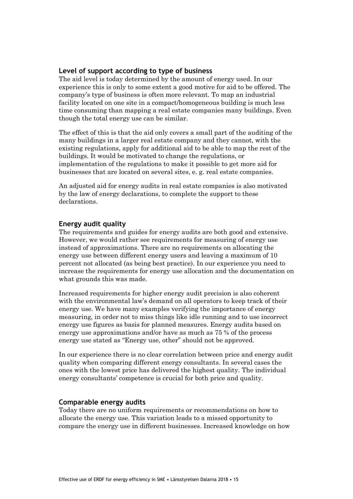## **Level of support according to type of business**

The aid level is today determined by the amount of energy used. In our experience this is only to some extent a good motive for aid to be offered. The company's type of business is often more relevant. To map an industrial facility located on one site in a compact/homogeneous building is much less time consuming than mapping a real estate companies many buildings. Even though the total energy use can be similar.

The effect of this is that the aid only covers a small part of the auditing of the many buildings in a larger real estate company and they cannot, with the existing regulations, apply for additional aid to be able to map the rest of the buildings. It would be motivated to change the regulations, or implementation of the regulations to make it possible to get more aid for businesses that are located on several sites, e. g. real estate companies.

An adjusted aid for energy audits in real estate companies is also motivated by the law of energy declarations, to complete the support to these declarations.

## **Energy audit quality**

The requirements and guides for energy audits are both good and extensive. However, we would rather see requirements for measuring of energy use instead of approximations. There are no requirements on allocating the energy use between different energy users and leaving a maximum of 10 percent not allocated (as being best practice). In our experience you need to increase the requirements for energy use allocation and the documentation on what grounds this was made.

Increased requirements for higher energy audit precision is also coherent with the environmental law's demand on all operators to keep track of their energy use. We have many examples verifying the importance of energy measuring, in order not to miss things like idle running and to use incorrect energy use figures as basis for planned measures. Energy audits based on energy use approximations and/or have as much as 75 % of the process energy use stated as "Energy use, other" should not be approved.

In our experience there is no clear correlation between price and energy audit quality when comparing different energy consultants. In several cases the ones with the lowest price has delivered the highest quality. The individual energy consultants' competence is crucial for both price and quality.

### **Comparable energy audits**

Today there are no uniform requirements or recommendations on how to allocate the energy use. This variation leads to a missed opportunity to compare the energy use in different businesses. Increased knowledge on how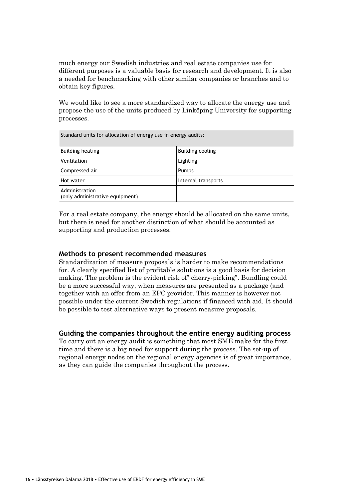much energy our Swedish industries and real estate companies use for different purposes is a valuable basis for research and development. It is also a needed for benchmarking with other similar companies or branches and to obtain key figures.

We would like to see a more standardized way to allocate the energy use and propose the use of the units produced by Linköping University for supporting processes.

| Standard units for allocation of energy use in energy audits: |                     |  |  |
|---------------------------------------------------------------|---------------------|--|--|
| <b>Building heating</b>                                       | Building cooling    |  |  |
| Ventilation                                                   | Lighting            |  |  |
| Compressed air                                                | <b>Pumps</b>        |  |  |
| Hot water                                                     | Internal transports |  |  |
| Administration<br>(only administrative equipment)             |                     |  |  |

For a real estate company, the energy should be allocated on the same units, but there is need for another distinction of what should be accounted as supporting and production processes.

## **Methods to present recommended measures**

Standardization of measure proposals is harder to make recommendations for. A clearly specified list of profitable solutions is a good basis for decision making. The problem is the evident risk of" cherry-picking". Bundling could be a more successful way, when measures are presented as a package (and together with an offer from an EPC provider. This manner is however not possible under the current Swedish regulations if financed with aid. It should be possible to test alternative ways to present measure proposals.

### **Guiding the companies throughout the entire energy auditing process**

To carry out an energy audit is something that most SME make for the first time and there is a big need for support during the process. The set-up of regional energy nodes on the regional energy agencies is of great importance, as they can guide the companies throughout the process.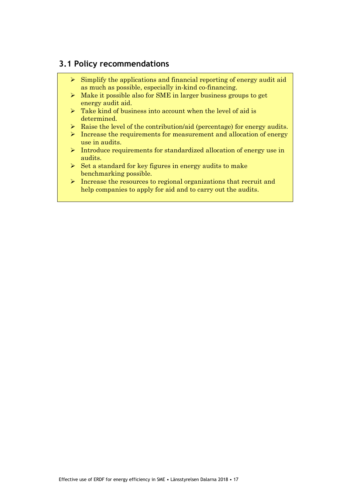## **3.1 Policy recommendations**

- $\triangleright$  Simplify the applications and financial reporting of energy audit aid as much as possible, especially in-kind co-financing.
- ➢ Make it possible also for SME in larger business groups to get energy audit aid.
- $\triangleright$  Take kind of business into account when the level of aid is determined.
- $\triangleright$  Raise the level of the contribution/aid (percentage) for energy audits.
- ➢ Increase the requirements for measurement and allocation of energy use in audits.
- ➢ Introduce requirements for standardized allocation of energy use in audits.
- $\triangleright$  Set a standard for key figures in energy audits to make benchmarking possible.
- ➢ Increase the resources to regional organizations that recruit and help companies to apply for aid and to carry out the audits.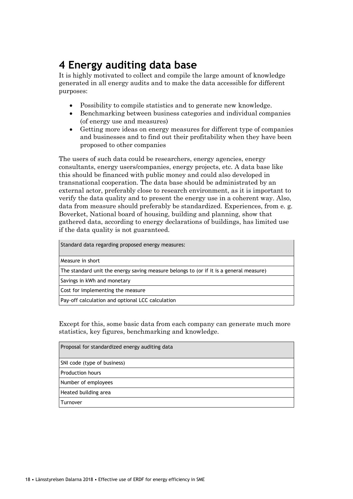# **4 Energy auditing data base**

It is highly motivated to collect and compile the large amount of knowledge generated in all energy audits and to make the data accessible for different purposes:

- Possibility to compile statistics and to generate new knowledge.
- Benchmarking between business categories and individual companies (of energy use and measures)
- Getting more ideas on energy measures for different type of companies and businesses and to find out their profitability when they have been proposed to other companies

The users of such data could be researchers, energy agencies, energy consultants, energy users/companies, energy projects, etc. A data base like this should be financed with public money and could also developed in transnational cooperation. The data base should be administrated by an external actor, preferably close to research environment, as it is important to verify the data quality and to present the energy use in a coherent way. Also, data from measure should preferably be standardized. Experiences, from e. g. Boverket, National board of housing, building and planning, show that gathered data, according to energy declarations of buildings, has limited use if the data quality is not guaranteed.

Standard data regarding proposed energy measures: Measure in short The standard unit the energy saving measure belongs to (or if it is a general measure) Savings in kWh and monetary Cost for implementing the measure Pay-off calculation and optional LCC calculation

Except for this, some basic data from each company can generate much more statistics, key figures, benchmarking and knowledge.

| Proposal for standardized energy auditing data |
|------------------------------------------------|
| SNI code (type of business)                    |
| <b>Production hours</b>                        |
| Number of employees                            |
| Heated building area                           |
| Turnover                                       |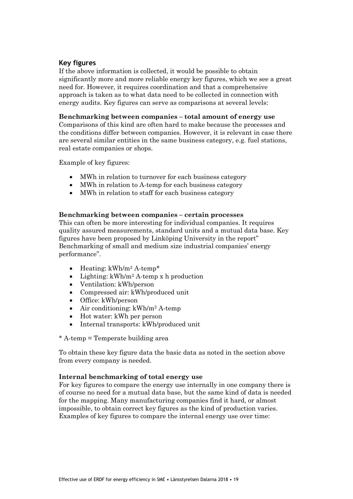## **Key figures**

If the above information is collected, it would be possible to obtain significantly more and more reliable energy key figures, which we see a great need for. However, it requires coordination and that a comprehensive approach is taken as to what data need to be collected in connection with energy audits. Key figures can serve as comparisons at several levels:

## **Benchmarking between companies – total amount of energy use**

Comparisons of this kind are often hard to make because the processes and the conditions differ between companies. However, it is relevant in case there are several similar entities in the same business category, e.g. fuel stations, real estate companies or shops.

Example of key figures:

- MWh in relation to turnover for each business category
- MWh in relation to A-temp for each business category
- MWh in relation to staff for each business category

## **Benchmarking between companies – certain processes**

This can often be more interesting for individual companies. It requires quality assured measurements, standard units and a mutual data base. Key figures have been proposed by Linköping University in the report" Benchmarking of small and medium size industrial companies' energy performance".

- Heating: kWh/m<sup>2</sup> A-temp\*
- Lighting:  $kWh/m^2$  A-temp x h production
- Ventilation: kWh/person
- Compressed air: kWh/produced unit
- Office: kWh/person
- Air conditioning:  $kWh/m^2$  A-temp
- Hot water: kWh per person
- Internal transports: kWh/produced unit

\* A-temp = Temperate building area

To obtain these key figure data the basic data as noted in the section above from every company is needed.

### **Internal benchmarking of total energy use**

For key figures to compare the energy use internally in one company there is of course no need for a mutual data base, but the same kind of data is needed for the mapping. Many manufacturing companies find it hard, or almost impossible, to obtain correct key figures as the kind of production varies. Examples of key figures to compare the internal energy use over time: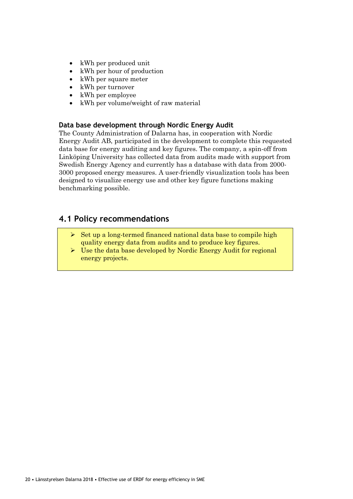- kWh per produced unit
- kWh per hour of production
- kWh per square meter
- kWh per turnover
- kWh per employee
- kWh per volume/weight of raw material

## **Data base development through Nordic Energy Audit**

The County Administration of Dalarna has, in cooperation with Nordic Energy Audit AB, participated in the development to complete this requested data base for energy auditing and key figures. The company, a spin-off from Linköping University has collected data from audits made with support from Swedish Energy Agency and currently has a database with data from 2000- 3000 proposed energy measures. A user-friendly visualization tools has been designed to visualize energy use and other key figure functions making benchmarking possible.

## **4.1 Policy recommendations**

- $\triangleright$  Set up a long-termed financed national data base to compile high quality energy data from audits and to produce key figures.
- $\triangleright$  Use the data base developed by Nordic Energy Audit for regional energy projects.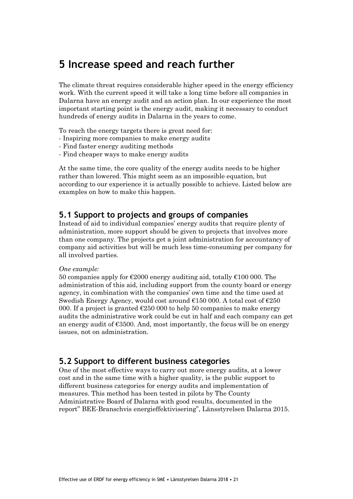# **5 Increase speed and reach further**

The climate threat requires considerable higher speed in the energy efficiency work. With the current speed it will take a long time before all companies in Dalarna have an energy audit and an action plan. In our experience the most important starting point is the energy audit, making it necessary to conduct hundreds of energy audits in Dalarna in the years to come.

To reach the energy targets there is great need for:

- Inspiring more companies to make energy audits
- Find faster energy auditing methods
- Find cheaper ways to make energy audits

At the same time, the core quality of the energy audits needs to be higher rather than lowered. This might seem as an impossible equation, but according to our experience it is actually possible to achieve. Listed below are examples on how to make this happen.

## **5.1 Support to projects and groups of companies**

Instead of aid to individual companies' energy audits that require plenty of administration, more support should be given to projects that involves more than one company. The projects get a joint administration for accountancy of company aid activities but will be much less time-consuming per company for all involved parties.

#### *One example:*

50 companies apply for  $\epsilon$ 2000 energy auditing aid, totally  $\epsilon$ 100 000. The administration of this aid, including support from the county board or energy agency, in combination with the companies' own time and the time used at Swedish Energy Agency, would cost around  $\epsilon$ 150 000. A total cost of  $\epsilon$ 250 000. If a project is granted  $\epsilon$ 250 000 to help 50 companies to make energy audits the administrative work could be cut in half and each company can get an energy audit of  $\epsilon$ 3500. And, most importantly, the focus will be on energy issues, not on administration.

## **5.2 Support to different business categories**

One of the most effective ways to carry out more energy audits, at a lower cost and in the same time with a higher quality, is the public support to different business categories for energy audits and implementation of measures. This method has been tested in pilots by The County Administrative Board of Dalarna with good results, documented in the report" BEE-Branschvis energieffektivisering", Länsstyrelsen Dalarna 2015.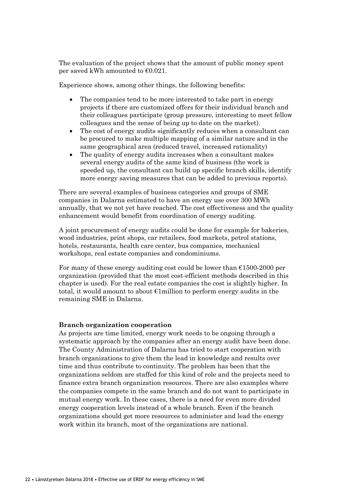The evaluation of the project shows that the amount of public money spent per saved kWh amounted to  $\epsilon$ 0.021.

Experience shows, among other things, the following benefits:

- The companies tend to be more interested to take part in energy projects if there are customized offers for their individual branch and their colleagues participate (group pressure, interesting to meet fellow colleagues and the sense of being up to date on the market).
- The cost of energy audits significantly reduces when a consultant can be procured to make multiple mapping of a similar nature and in the same geographical area (reduced travel, increased rationality)
- The quality of energy audits increases when a consultant makes several energy audits of the same kind of business (the work is speeded up, the consultant can build up specific branch skills, identify more energy saving measures that can be added to previous reports).

There are several examples of business categories and groups of SME companies in Dalarna estimated to have an energy use over 300 MWh annually, that we not yet have reached. The cost effectiveness and the quality enhancement would benefit from coordination of energy auditing.

A joint procurement of energy audits could be done for example for bakeries, wood industries, print shops, car retailers, food markets, petrol stations, hotels, restaurants, health care center, bus companies, mechanical workshops, real estate companies and condominiums.

For many of these energy auditing cost could be lower than  $E1500-2000$  per organization (provided that the most cost-efficient methods described in this chapter is used). For the real estate companies the cost is slightly higher. In total, it would amount to about  $\epsilon$ 1 million to perform energy audits in the remaining SME in Dalarna.

#### **Branch organization cooperation**

As projects are time limited, energy work needs to be ongoing through a systematic approach by the companies after an energy audit have been done. The County Administration of Dalarna has tried to start cooperation with branch organizations to give them the lead in knowledge and results over time and thus contribute to continuity. The problem has been that the organizations seldom are staffed for this kind of role and the projects need to finance extra branch organization resources. There are also examples where the companies compete in the same branch and do not want to participate in mutual energy work. In these cases, there is a need for even more divided energy cooperation levels instead of a whole branch. Even if the branch organizations should get more resources to administer and lead the energy work within its branch, most of the organizations are national.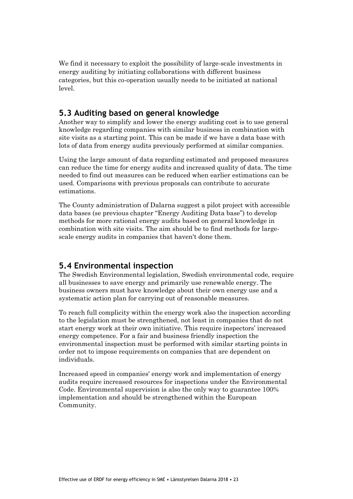We find it necessary to exploit the possibility of large-scale investments in energy auditing by initiating collaborations with different business categories, but this co-operation usually needs to be initiated at national level.

## **5.3 Auditing based on general knowledge**

Another way to simplify and lower the energy auditing cost is to use general knowledge regarding companies with similar business in combination with site visits as a starting point. This can be made if we have a data base with lots of data from energy audits previously performed at similar companies.

Using the large amount of data regarding estimated and proposed measures can reduce the time for energy audits and increased quality of data. The time needed to find out measures can be reduced when earlier estimations can be used. Comparisons with previous proposals can contribute to accurate estimations.

The County administration of Dalarna suggest a pilot project with accessible data bases (se previous chapter "Energy Auditing Data base") to develop methods for more rational energy audits based on general knowledge in combination with site visits. The aim should be to find methods for largescale energy audits in companies that haven't done them.

## **5.4 Environmental inspection**

The Swedish Environmental legislation, Swedish environmental code, require all businesses to save energy and primarily use renewable energy. The business owners must have knowledge about their own energy use and a systematic action plan for carrying out of reasonable measures.

To reach full complicity within the energy work also the inspection according to the legislation must be strengthened, not least in companies that do not start energy work at their own initiative. This require inspectors' increased energy competence. For a fair and business friendly inspection the environmental inspection must be performed with similar starting points in order not to impose requirements on companies that are dependent on individuals.

Increased speed in companies' energy work and implementation of energy audits require increased resources for inspections under the Environmental Code. Environmental supervision is also the only way to guarantee 100% implementation and should be strengthened within the European Community.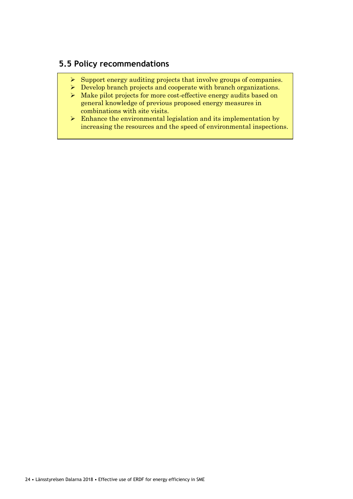# **5.5 Policy recommendations**

- ➢ Support energy auditing projects that involve groups of companies.
- ➢ Develop branch projects and cooperate with branch organizations.
- ➢ Make pilot projects for more cost-effective energy audits based on general knowledge of previous proposed energy measures in combinations with site visits.
- $\triangleright$  Enhance the environmental legislation and its implementation by increasing the resources and the speed of environmental inspections.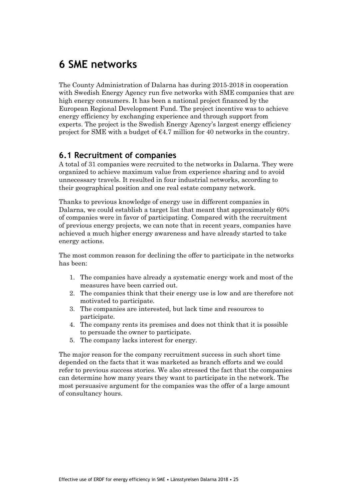# **6 SME networks**

The County Administration of Dalarna has during 2015-2018 in cooperation with Swedish Energy Agency run five networks with SME companies that are high energy consumers. It has been a national project financed by the European Regional Development Fund. The project incentive was to achieve energy efficiency by exchanging experience and through support from experts. The project is the Swedish Energy Agency's largest energy efficiency project for SME with a budget of  $\epsilon$ 4.7 million for 40 networks in the country.

## **6.1 Recruitment of companies**

A total of 31 companies were recruited to the networks in Dalarna. They were organized to achieve maximum value from experience sharing and to avoid unnecessary travels. It resulted in four industrial networks, according to their geographical position and one real estate company network.

Thanks to previous knowledge of energy use in different companies in Dalarna, we could establish a target list that meant that approximately 60% of companies were in favor of participating. Compared with the recruitment of previous energy projects, we can note that in recent years, companies have achieved a much higher energy awareness and have already started to take energy actions.

The most common reason for declining the offer to participate in the networks has been:

- 1. The companies have already a systematic energy work and most of the measures have been carried out.
- 2. The companies think that their energy use is low and are therefore not motivated to participate.
- 3. The companies are interested, but lack time and resources to participate.
- 4. The company rents its premises and does not think that it is possible to persuade the owner to participate.
- 5. The company lacks interest for energy.

The major reason for the company recruitment success in such short time depended on the facts that it was marketed as branch efforts and we could refer to previous success stories. We also stressed the fact that the companies can determine how many years they want to participate in the network. The most persuasive argument for the companies was the offer of a large amount of consultancy hours.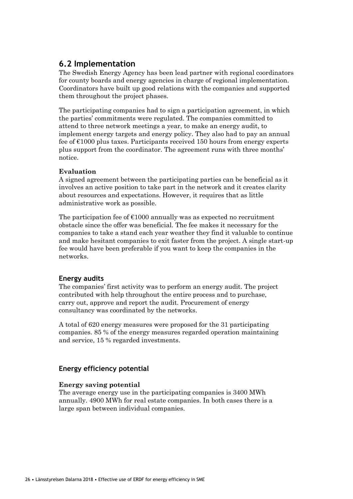## **6.2 Implementation**

The Swedish Energy Agency has been lead partner with regional coordinators for county boards and energy agencies in charge of regional implementation. Coordinators have built up good relations with the companies and supported them throughout the project phases.

The participating companies had to sign a participation agreement, in which the parties' commitments were regulated. The companies committed to attend to three network meetings a year, to make an energy audit, to implement energy targets and energy policy. They also had to pay an annual fee of €1000 plus taxes. Participants received 150 hours from energy experts plus support from the coordinator. The agreement runs with three months' notice.

## **Evaluation**

A signed agreement between the participating parties can be beneficial as it involves an active position to take part in the network and it creates clarity about resources and expectations. However, it requires that as little administrative work as possible.

The participation fee of  $\epsilon$ 1000 annually was as expected no recruitment obstacle since the offer was beneficial. The fee makes it necessary for the companies to take a stand each year weather they find it valuable to continue and make hesitant companies to exit faster from the project. A single start-up fee would have been preferable if you want to keep the companies in the networks.

## **Energy audits**

The companies' first activity was to perform an energy audit. The project contributed with help throughout the entire process and to purchase, carry out, approve and report the audit. Procurement of energy consultancy was coordinated by the networks.

A total of 620 energy measures were proposed for the 31 participating companies. 85 % of the energy measures regarded operation maintaining and service, 15 % regarded investments.

## **Energy efficiency potential**

## **Energy saving potential**

The average energy use in the participating companies is 3400 MWh annually. 4900 MWh for real estate companies. In both cases there is a large span between individual companies.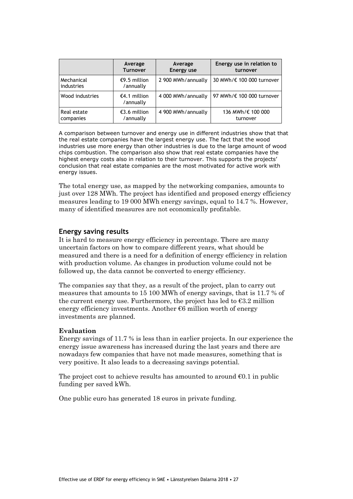|                          | Average                   | Average            | Energy use in relation to |
|--------------------------|---------------------------|--------------------|---------------------------|
|                          | <b>Turnover</b>           | <b>Energy use</b>  | turnover                  |
| Mechanical<br>industries | €9.5 million<br>/annually | 2 900 MWh/annually | 30 MWh/€ 100 000 turnover |
| Wood industries          | €4.1 million<br>/annually | 4 000 MWh/annually | 97 MWh/€ 100 000 turnover |
| Real estate              | €3.6 million              | 4 900 MWh/annually | 136 MWh/€ 100 000         |
| companies                | /annually                 |                    | turnover                  |

A comparison between turnover and energy use in different industries show that that the real estate companies have the largest energy use. The fact that the wood industries use more energy than other industries is due to the large amount of wood chips combustion. The comparison also show that real estate companies have the highest energy costs also in relation to their turnover. This supports the projects' conclusion that real estate companies are the most motivated for active work with energy issues.

The total energy use, as mapped by the networking companies, amounts to just over 128 MWh. The project has identified and proposed energy efficiency measures leading to 19 000 MWh energy savings, equal to 14.7 %. However, many of identified measures are not economically profitable.

### **Energy saving results**

It is hard to measure energy efficiency in percentage. There are many uncertain factors on how to compare different years, what should be measured and there is a need for a definition of energy efficiency in relation with production volume. As changes in production volume could not be followed up, the data cannot be converted to energy efficiency.

The companies say that they, as a result of the project, plan to carry out measures that amounts to 15 100 MWh of energy savings, that is 11.7 % of the current energy use. Furthermore, the project has led to  $\epsilon$ 3.2 million energy efficiency investments. Another  $\epsilon$ 6 million worth of energy investments are planned.

### **Evaluation**

Energy savings of 11.7 % is less than in earlier projects. In our experience the energy issue awareness has increased during the last years and there are nowadays few companies that have not made measures, something that is very positive. It also leads to a decreasing savings potential.

The project cost to achieve results has amounted to around  $\epsilon$ 0.1 in public funding per saved kWh.

One public euro has generated 18 euros in private funding.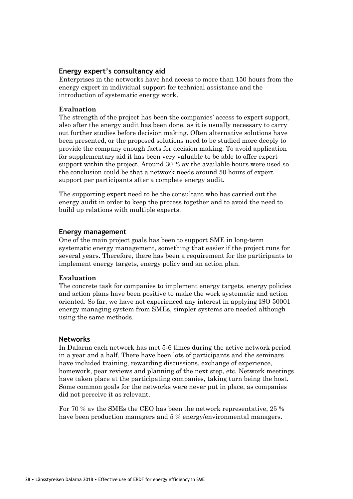## **Energy expert's consultancy aid**

Enterprises in the networks have had access to more than 150 hours from the energy expert in individual support for technical assistance and the introduction of systematic energy work.

## **Evaluation**

The strength of the project has been the companies' access to expert support, also after the energy audit has been done, as it is usually necessary to carry out further studies before decision making. Often alternative solutions have been presented, or the proposed solutions need to be studied more deeply to provide the company enough facts for decision making. To avoid application for supplementary aid it has been very valuable to be able to offer expert support within the project. Around 30 % av the available hours were used so the conclusion could be that a network needs around 50 hours of expert support per participants after a complete energy audit.

The supporting expert need to be the consultant who has carried out the energy audit in order to keep the process together and to avoid the need to build up relations with multiple experts.

### **Energy management**

One of the main project goals has been to support SME in long-term systematic energy management, something that easier if the project runs for several years. Therefore, there has been a requirement for the participants to implement energy targets, energy policy and an action plan.

### **Evaluation**

The concrete task for companies to implement energy targets, energy policies and action plans have been positive to make the work systematic and action oriented. So far, we have not experienced any interest in applying ISO 50001 energy managing system from SMEs, simpler systems are needed although using the same methods.

### **Networks**

In Dalarna each network has met 5-6 times during the active network period in a year and a half. There have been lots of participants and the seminars have included training, rewarding discussions, exchange of experience, homework, pear reviews and planning of the next step, etc. Network meetings have taken place at the participating companies, taking turn being the host. Some common goals for the networks were never put in place, as companies did not perceive it as relevant.

For 70 % av the SMEs the CEO has been the network representative, 25 % have been production managers and 5 % energy/environmental managers.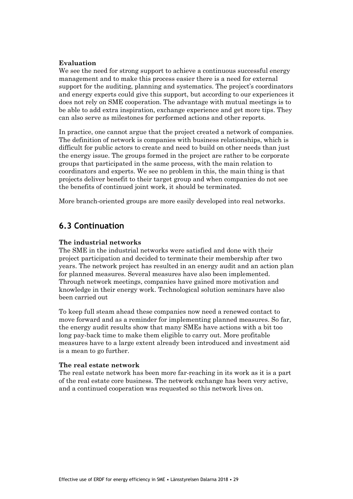### **Evaluation**

We see the need for strong support to achieve a continuous successful energy management and to make this process easier there is a need for external support for the auditing, planning and systematics. The project's coordinators and energy experts could give this support, but according to our experiences it does not rely on SME cooperation. The advantage with mutual meetings is to be able to add extra inspiration, exchange experience and get more tips. They can also serve as milestones for performed actions and other reports.

In practice, one cannot argue that the project created a network of companies. The definition of network is companies with business relationships, which is difficult for public actors to create and need to build on other needs than just the energy issue. The groups formed in the project are rather to be corporate groups that participated in the same process, with the main relation to coordinators and experts. We see no problem in this, the main thing is that projects deliver benefit to their target group and when companies do not see the benefits of continued joint work, it should be terminated.

More branch-oriented groups are more easily developed into real networks.

## **6.3 Continuation**

## **The industrial networks**

The SME in the industrial networks were satisfied and done with their project participation and decided to terminate their membership after two years. The network project has resulted in an energy audit and an action plan for planned measures. Several measures have also been implemented. Through network meetings, companies have gained more motivation and knowledge in their energy work. Technological solution seminars have also been carried out

To keep full steam ahead these companies now need a renewed contact to move forward and as a reminder for implementing planned measures. So far, the energy audit results show that many SMEs have actions with a bit too long pay-back time to make them eligible to carry out. More profitable measures have to a large extent already been introduced and investment aid is a mean to go further.

### **The real estate network**

The real estate network has been more far-reaching in its work as it is a part of the real estate core business. The network exchange has been very active, and a continued cooperation was requested so this network lives on.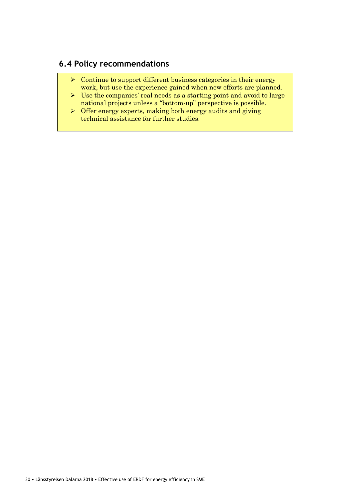# **6.4 Policy recommendations**

- $\triangleright$  Continue to support different business categories in their energy work, but use the experience gained when new efforts are planned.
- $\triangleright$  Use the companies' real needs as a starting point and avoid to large national projects unless a "bottom-up" perspective is possible.
- $\triangleright$  Offer energy experts, making both energy audits and giving technical assistance for further studies.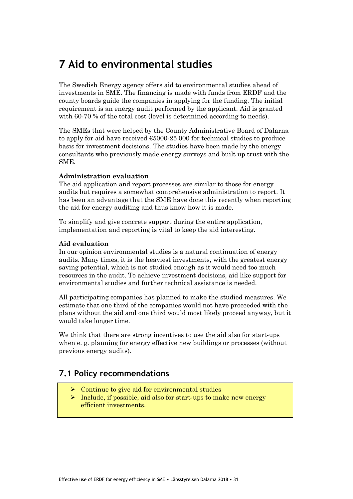# **7 Aid to environmental studies**

The Swedish Energy agency offers aid to environmental studies ahead of investments in SME. The financing is made with funds from ERDF and the county boards guide the companies in applying for the funding. The initial requirement is an energy audit performed by the applicant. Aid is granted with 60-70 % of the total cost (level is determined according to needs).

The SMEs that were helped by the County Administrative Board of Dalarna to apply for aid have received €5000-25 000 for technical studies to produce basis for investment decisions. The studies have been made by the energy consultants who previously made energy surveys and built up trust with the SME.

## **Administration evaluation**

The aid application and report processes are similar to those for energy audits but requires a somewhat comprehensive administration to report. It has been an advantage that the SME have done this recently when reporting the aid for energy auditing and thus know how it is made.

To simplify and give concrete support during the entire application, implementation and reporting is vital to keep the aid interesting.

### **Aid evaluation**

In our opinion environmental studies is a natural continuation of energy audits. Many times, it is the heaviest investments, with the greatest energy saving potential, which is not studied enough as it would need too much resources in the audit. To achieve investment decisions, aid like support for environmental studies and further technical assistance is needed.

All participating companies has planned to make the studied measures. We estimate that one third of the companies would not have proceeded with the plans without the aid and one third would most likely proceed anyway, but it would take longer time.

We think that there are strong incentives to use the aid also for start-ups when e. g. planning for energy effective new buildings or processes (without previous energy audits).

## **7.1 Policy recommendations**

- Continue to give aid for environmental studies
- ➢ Include, if possible, aid also for start-ups to make new energy efficient investments.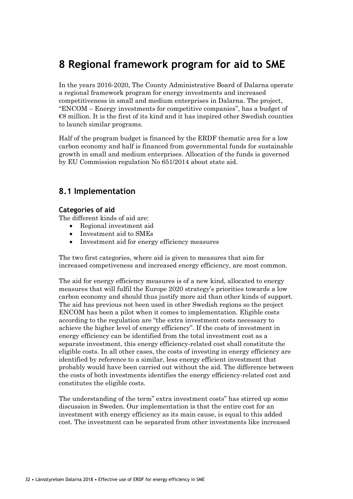# **8 Regional framework program for aid to SME**

In the years 2016-2020, The County Administrative Board of Dalarna operate a regional framework program for energy investments and increased competitiveness in small and medium enterprises in Dalarna. The project, "ENCOM – Energy investments for competitive companies", has a budget of  $€8$  million. It is the first of its kind and it has inspired other Swedish counties to launch similar programs.

Half of the program budget is financed by the ERDF thematic area for a low carbon economy and half is financed from governmental funds for sustainable growth in small and medium enterprises. Allocation of the funds is governed by EU Commission regulation No 651/2014 about state aid.

## **8.1 Implementation**

## **Categories of aid**

The different kinds of aid are:

- Regional investment aid
- Investment aid to SMEs
- Investment aid for energy efficiency measures

The two first categories, where aid is given to measures that aim for increased competiveness and increased energy efficiency, are most common.

The aid for energy efficiency measures is of a new kind, allocated to energy measures that will fulfil the Europe 2020 strategy's priorities towards a low carbon economy and should thus justify more aid than other kinds of support. The aid has previous not been used in other Swedish regions so the project ENCOM has been a pilot when it comes to implementation. Eligible costs according to the regulation are "the extra investment costs necessary to achieve the higher level of energy efficiency". If the costs of investment in energy efficiency can be identified from the total investment cost as a separate investment, this energy efficiency-related cost shall constitute the eligible costs. In all other cases, the costs of investing in energy efficiency are identified by reference to a similar, less energy efficient investment that probably would have been carried out without the aid. The difference between the costs of both investments identifies the energy efficiency-related cost and constitutes the eligible costs.

The understanding of the term" extra investment costs" has stirred up some discussion in Sweden. Our implementation is that the entire cost for an investment with energy efficiency as its main cause, is equal to this added cost. The investment can be separated from other investments like increased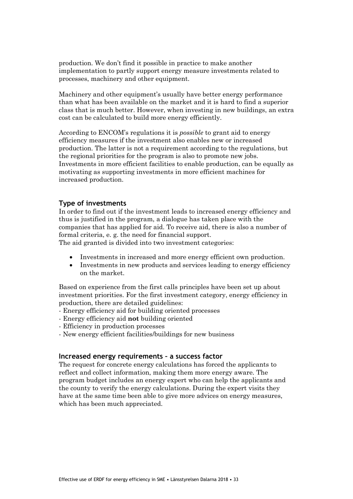production. We don't find it possible in practice to make another implementation to partly support energy measure investments related to processes, machinery and other equipment.

Machinery and other equipment's usually have better energy performance than what has been available on the market and it is hard to find a superior class that is much better. However, when investing in new buildings, an extra cost can be calculated to build more energy efficiently.

According to ENCOM's regulations it is *possible* to grant aid to energy efficiency measures if the investment also enables new or increased production. The latter is not a requirement according to the regulations, but the regional priorities for the program is also to promote new jobs. Investments in more efficient facilities to enable production, can be equally as motivating as supporting investments in more efficient machines for increased production.

## **Type of investments**

In order to find out if the investment leads to increased energy efficiency and thus is justified in the program, a dialogue has taken place with the companies that has applied for aid. To receive aid, there is also a number of formal criteria, e. g. the need for financial support.

The aid granted is divided into two investment categories:

- Investments in increased and more energy efficient own production.
- Investments in new products and services leading to energy efficiency on the market.

Based on experience from the first calls principles have been set up about investment priorities. For the first investment category, energy efficiency in production, there are detailed guidelines:

- Energy efficiency aid for building oriented processes
- Energy efficiency aid **not** building oriented
- Efficiency in production processes
- New energy efficient facilities/buildings for new business

#### **Increased energy requirements – a success factor**

The request for concrete energy calculations has forced the applicants to reflect and collect information, making them more energy aware. The program budget includes an energy expert who can help the applicants and the county to verify the energy calculations. During the expert visits they have at the same time been able to give more advices on energy measures, which has been much appreciated.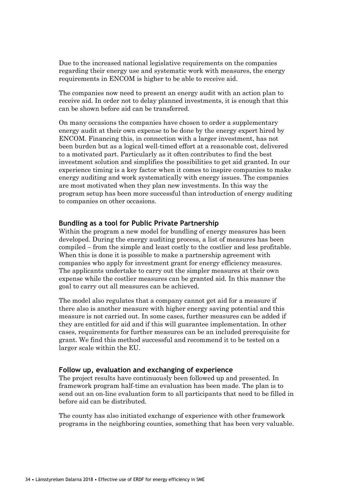Due to the increased national legislative requirements on the companies regarding their energy use and systematic work with measures, the energy requirements in ENCOM is higher to be able to receive aid.

The companies now need to present an energy audit with an action plan to receive aid. In order not to delay planned investments, it is enough that this can be shown before aid can be transferred.

On many occasions the companies have chosen to order a supplementary energy audit at their own expense to be done by the energy expert hired by ENCOM. Financing this, in connection with a larger investment, has not been burden but as a logical well-timed effort at a reasonable cost, delivered to a motivated part. Particularly as it often contributes to find the best investment solution and simplifies the possibilities to get aid granted. In our experience timing is a key factor when it comes to inspire companies to make energy auditing and work systematically with energy issues. The companies are most motivated when they plan new investments. In this way the program setup has been more successful than introduction of energy auditing to companies on other occasions.

## **Bundling as a tool for Public Private Partnership**

Within the program a new model for bundling of energy measures has been developed. During the energy auditing process, a list of measures has been compiled – from the simple and least costly to the costlier and less profitable. When this is done it is possible to make a partnership agreement with companies who apply for investment grant for energy efficiency measures. The applicants undertake to carry out the simpler measures at their own expense while the costlier measures can be granted aid. In this manner the goal to carry out all measures can be achieved.

The model also regulates that a company cannot get aid for a measure if there also is another measure with higher energy saving potential and this measure is not carried out. In some cases, further measures can be added if they are entitled for aid and if this will guarantee implementation. In other cases, requirements for further measures can be an included prerequisite for grant. We find this method successful and recommend it to be tested on a larger scale within the EU.

#### **Follow up, evaluation and exchanging of experience**

The project results have continuously been followed up and presented. In framework program half-time an evaluation has been made. The plan is to send out an on-line evaluation form to all participants that need to be filled in before aid can be distributed.

The county has also initiated exchange of experience with other framework programs in the neighboring counties, something that has been very valuable.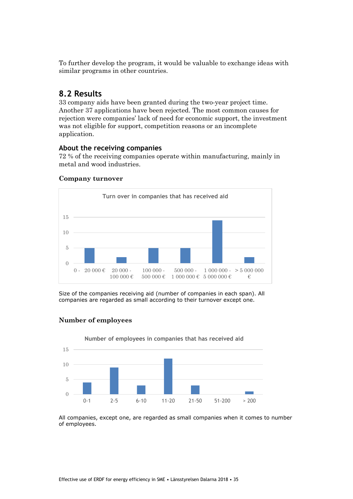To further develop the program, it would be valuable to exchange ideas with similar programs in other countries.

## **8.2 Results**

33 company aids have been granted during the two-year project time. Another 37 applications have been rejected. The most common causes for rejection were companies' lack of need for economic support, the investment was not eligible for support, competition reasons or an incomplete application.

## **About the receiving companies**

72 % of the receiving companies operate within manufacturing, mainly in metal and wood industries.



### **Company turnover**

Size of the companies receiving aid (number of companies in each span). All companies are regarded as small according to their turnover except one.



## **Number of employees**

All companies, except one, are regarded as small companies when it comes to number of employees.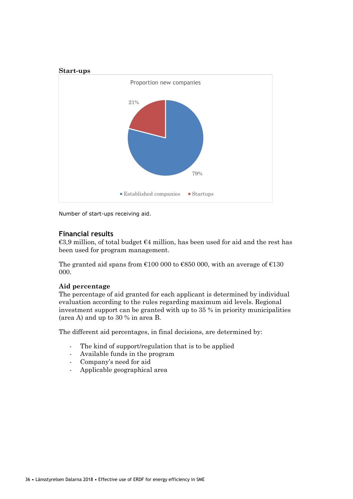

Number of start-ups receiving aid.

## **Financial results**

€3,9 million, of total budget €4 million, has been used for aid and the rest has been used for program management.

The granted aid spans from  $\text{\textsterling}100000$  to  $\text{\textsterling}850000$ , with an average of  $\text{\textsterling}130$ 000.

### **Aid percentage**

The percentage of aid granted for each applicant is determined by individual evaluation according to the rules regarding maximum aid levels. Regional investment support can be granted with up to 35 % in priority municipalities (area A) and up to 30 % in area B.

The different aid percentages, in final decisions, are determined by:

- The kind of support/regulation that is to be applied
- Available funds in the program
- Company's need for aid
- Applicable geographical area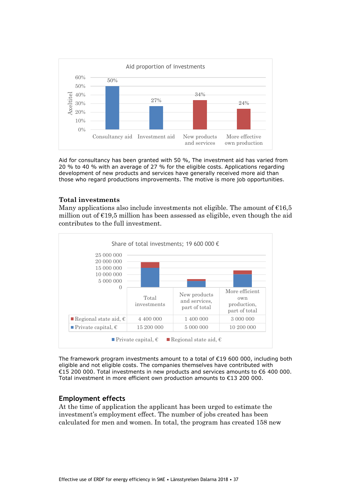

Aid for consultancy has been granted with 50 %, The investment aid has varied from 20 % to 40 % with an average of 27 % for the eligible costs. Applications regarding development of new products and services have generally received more aid than those who regard productions improvements. The motive is more job opportunities.

### **Total investments**

Many applications also include investments not eligible. The amount of  $E16.5$ million out of  $E19,5$  million has been assessed as eligible, even though the aid contributes to the full investment.



The framework program investments amount to a total of €19 600 000, including both eligible and not eligible costs. The companies themselves have contributed with €15 200 000. Total investments in new products and services amounts to €6 400 000. Total investment in more efficient own production amounts to €13 200 000.

### **Employment effects**

At the time of application the applicant has been urged to estimate the investment's employment effect. The number of jobs created has been calculated for men and women. In total, the program has created 158 new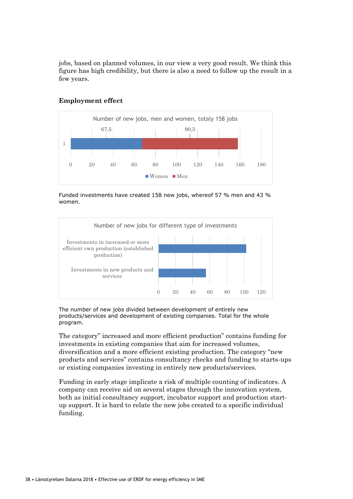jobs, based on planned volumes, in our view a very good result. We think this figure has high credibility, but there is also a need to follow up the result in a few years.



## **Employment effect**

Funded investments have created 158 new jobs, whereof 57 % men and 43 % women.



The number of new jobs divided between development of entirely new products/services and development of existing companies. Total for the whole program.

The category" increased and more efficient production" contains funding for investments in existing companies that aim for increased volumes, diversification and a more efficient existing production. The category "new products and services" contains consultancy checks and funding to starts-ups or existing companies investing in entirely new products/services.

Funding in early stage implicate a risk of multiple counting of indicators. A company can receive aid on several stages through the innovation system, both as initial consultancy support, incubator support and production startup support. It is hard to relate the new jobs created to a specific individual funding.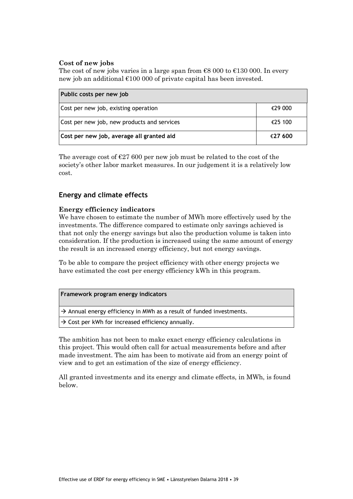## **Cost of new jobs**

The cost of new jobs varies in a large span from  $\epsilon$ 8 000 to  $\epsilon$ 130 000. In every new job an additional €100 000 of private capital has been invested.

| Public costs per new job                    |         |
|---------------------------------------------|---------|
| Cost per new job, existing operation        | €29 000 |
| Cost per new job, new products and services | €25 100 |
| Cost per new job, average all granted aid   | €27 600 |

The average cost of  $\epsilon$ 27 600 per new job must be related to the cost of the society's other labor market measures. In our judgement it is a relatively low cost.

## **Energy and climate effects**

## **Energy efficiency indicators**

We have chosen to estimate the number of MWh more effectively used by the investments. The difference compared to estimate only savings achieved is that not only the energy savings but also the production volume is taken into consideration. If the production is increased using the same amount of energy the result is an increased energy efficiency, but not energy savings.

To be able to compare the project efficiency with other energy projects we have estimated the cost per energy efficiency kWh in this program.

 $\rightarrow$  Annual energy efficiency in MWh as a result of funded investments.

 $\rightarrow$  Cost per kWh for increased efficiency annually.

The ambition has not been to make exact energy efficiency calculations in this project. This would often call for actual measurements before and after made investment. The aim has been to motivate aid from an energy point of view and to get an estimation of the size of energy efficiency.

All granted investments and its energy and climate effects, in MWh, is found below.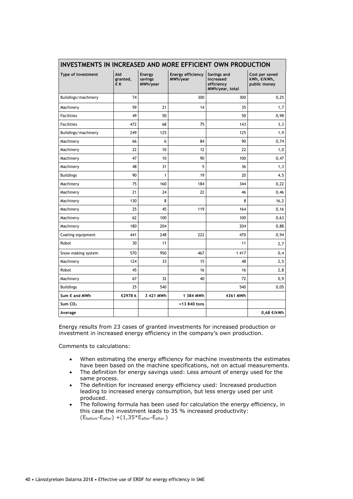| INVESTMENTS IN INCREASED AND MORE EFFICIENT OWN PRODUCTION |                       |                               |                                      |                                                           |                                               |
|------------------------------------------------------------|-----------------------|-------------------------------|--------------------------------------|-----------------------------------------------------------|-----------------------------------------------|
| Type of investment                                         | Aid<br>granted,<br>€К | Energy<br>savings<br>MWh/year | <b>Energy efficiency</b><br>MWh/year | Savings and<br>increased<br>efficiency<br>MWh/year, total | Cost per saved<br>kWh, €/kWh,<br>public money |
| Buildings/machinery                                        | 74                    |                               | 300                                  | 300                                                       | 0,25                                          |
| Machinery                                                  | 59                    | 21                            | 14                                   | 35                                                        | 1,7                                           |
| <b>Facilities</b>                                          | 49                    | 50                            |                                      | 50                                                        | 0,98                                          |
| <b>Facilities</b>                                          | 472                   | 68                            | 75                                   | 143                                                       | 3,3                                           |
| Buildings/machinery                                        | 249                   | 125                           |                                      | 125                                                       | 1,9                                           |
| Machinery                                                  | 66                    | 6                             | 84                                   | 90                                                        | 0,74                                          |
| Machinery                                                  | 22                    | 10                            | 12                                   | 22                                                        | 1,0                                           |
| Machinery                                                  | 47                    | 10                            | 90                                   | 100                                                       | 0,47                                          |
| Machinery                                                  | 48                    | 31                            | 5                                    | 36                                                        | 1,3                                           |
| <b>Buildings</b>                                           | 90                    | 1                             | 19                                   | 20                                                        | 4,5                                           |
| Machinery                                                  | 75                    | 160                           | 184                                  | 344                                                       | 0,22                                          |
| Machinery                                                  | 21                    | 24                            | 22                                   | 46                                                        | 0,46                                          |
| Machinery                                                  | 130                   | 8                             |                                      | 8                                                         | 16,2                                          |
| Machinery                                                  | 25                    | 45                            | 119                                  | 164                                                       | 0, 16                                         |
| Machinery                                                  | 62                    | 100                           |                                      | 100                                                       | 0,63                                          |
| Machinery                                                  | 180                   | 204                           |                                      | 204                                                       | 0,88                                          |
| Coating equipment                                          | 441                   | 248                           | 222                                  | 470                                                       | 0,94                                          |
| Robot                                                      | 30                    | 11                            |                                      | 11                                                        | 2,7                                           |
| Snow making system                                         | 570                   | 950                           | 467                                  | 1 4 1 7                                                   | 0,4                                           |
| Machinery                                                  | 124                   | 33                            | 15                                   | 48                                                        | 2,5                                           |
| Robot                                                      | 45                    |                               | 16                                   | 16                                                        | 2,8                                           |
| Machinery                                                  | 67                    | 32                            | 40                                   | 72                                                        | 0,9                                           |
| <b>Buildings</b>                                           | 25                    | 540                           |                                      | 540                                                       | 0,05                                          |
| Sum € and MWh                                              | €2978 k               | 3 421 MWh                     | 1 384 MWh                            | 4361 MWh                                                  |                                               |
| Sum $CO2$                                                  |                       |                               | $= 13840$ tons                       |                                                           |                                               |
| Average                                                    |                       |                               |                                      |                                                           | 0,68 €/kWh                                    |

## **INVESTMENTS IN INCREASED AND MORE EFFICIENT OWN PRODUCTION**

Energy results from 23 cases of granted investments for increased production or investment in increased energy efficiency in the company's own production.

Comments to calculations:

- When estimating the energy efficiency for machine investments the estimates have been based on the machine specifications, not on actual measurements.
- The definition for energy savings used: Less amount of energy used for the same process.
- The definition for increased energy efficiency used: Increased production leading to increased energy consumption, but less energy used per unit produced.
- The following formula has been used for calculation the energy efficiency, in this case the investment leads to 35 % increased productivity: (Ebefore-Eafter) +(1,35\*Eafter-Eafter )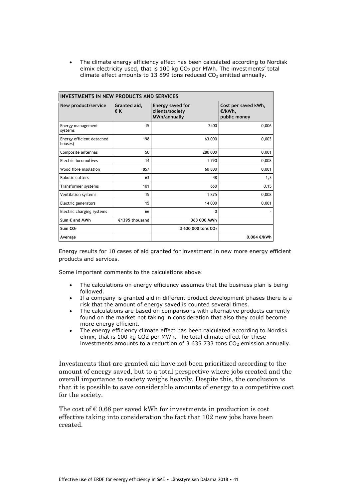• The climate energy efficiency effect has been calculated according to Nordisk elmix electricity used, that is 100 kg  $CO<sub>2</sub>$  per MWh. The investments' total climate effect amounts to 13 899 tons reduced  $CO<sub>2</sub>$  emitted annually.

| <b>INVESTMENTS IN NEW PRODUCTS AND SERVICES</b> |                    |                                                     |                                               |
|-------------------------------------------------|--------------------|-----------------------------------------------------|-----------------------------------------------|
| New product/service                             | Granted aid,<br>€Κ | Energy saved for<br>clients/society<br>MWh/annually | Cost per saved kWh,<br>€/kWh,<br>public money |
| Energy management<br>systems                    | 15                 | 2400                                                | 0,006                                         |
| Energy efficient detached<br>houses)            | 198                | 63 000                                              | 0,003                                         |
| Composite antennas                              | 50                 | 280 000                                             | 0,001                                         |
| Electric locomotives                            | 14                 | 1790                                                | 0,008                                         |
| Wood fibre insolation                           | 857                | 60 800                                              | 0,001                                         |
| Robotic cutters                                 | 63                 | 48                                                  | 1,3                                           |
| Transformer systems                             | 101                | 660                                                 | 0, 15                                         |
| Ventilation systems                             | 15                 | 1875                                                | 0,008                                         |
| Electric generators                             | 15                 | 14 000                                              | 0,001                                         |
| Electric charging systems                       | 66                 | 0                                                   |                                               |
| Sum € and MWh                                   | €1395 thousand     | 363 000 MWh                                         |                                               |
| Sum $CO2$                                       |                    | 3 630 000 tons CO <sub>2</sub>                      |                                               |
| Average                                         |                    |                                                     | 0,004 €/kWh                                   |

Energy results for 10 cases of aid granted for investment in new more energy efficient products and services.

Some important comments to the calculations above:

- The calculations on energy efficiency assumes that the business plan is being followed.
- If a company is granted aid in different product development phases there is a risk that the amount of energy saved is counted several times.
- The calculations are based on comparisons with alternative products currently found on the market not taking in consideration that also they could become more energy efficient.
- The energy efficiency climate effect has been calculated according to Nordisk elmix, that is 100 kg CO2 per MWh. The total climate effect for these investments amounts to a reduction of 3 635 733 tons  $CO<sub>2</sub>$  emission annually.

Investments that are granted aid have not been prioritized according to the amount of energy saved, but to a total perspective where jobs created and the overall importance to society weighs heavily. Despite this, the conclusion is that it is possible to save considerable amounts of energy to a competitive cost for the society.

The cost of  $\epsilon$  0,68 per saved kWh for investments in production is cost effective taking into consideration the fact that 102 new jobs have been created.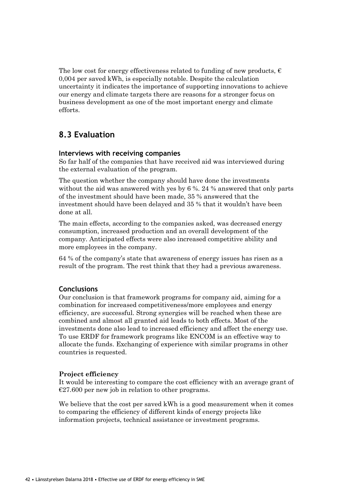The low cost for energy effectiveness related to funding of new products,  $\epsilon$ 0,004 per saved kWh, is especially notable. Despite the calculation uncertainty it indicates the importance of supporting innovations to achieve our energy and climate targets there are reasons for a stronger focus on business development as one of the most important energy and climate efforts.

## **8.3 Evaluation**

### **Interviews with receiving companies**

So far half of the companies that have received aid was interviewed during the external evaluation of the program.

The question whether the company should have done the investments without the aid was answered with yes by 6 %. 24 % answered that only parts of the investment should have been made, 35 % answered that the investment should have been delayed and 35 % that it wouldn't have been done at all.

The main effects, according to the companies asked, was decreased energy consumption, increased production and an overall development of the company. Anticipated effects were also increased competitive ability and more employees in the company.

64 % of the company's state that awareness of energy issues has risen as a result of the program. The rest think that they had a previous awareness.

### **Conclusions**

Our conclusion is that framework programs for company aid, aiming for a combination for increased competitiveness/more employees and energy efficiency, are successful. Strong synergies will be reached when these are combined and almost all granted aid leads to both effects. Most of the investments done also lead to increased efficiency and affect the energy use. To use ERDF for framework programs like ENCOM is an effective way to allocate the funds. Exchanging of experience with similar programs in other countries is requested.

### **Project efficiency**

It would be interesting to compare the cost efficiency with an average grant of  $E27.600$  per new job in relation to other programs.

We believe that the cost per saved kWh is a good measurement when it comes to comparing the efficiency of different kinds of energy projects like information projects, technical assistance or investment programs.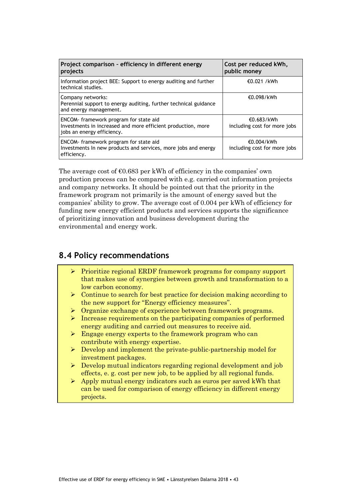| Project comparison - efficiency in different energy<br>projects                                                                      | Cost per reduced kWh,<br>public money      |
|--------------------------------------------------------------------------------------------------------------------------------------|--------------------------------------------|
| Information project BEE: Support to energy auditing and further<br>technical studies.                                                | €0.021 /kWh                                |
| Company networks:<br>Perennial support to energy auditing, further technical guidance<br>and energy management.                      | €0.098/kWh                                 |
| ENCOM- framework program for state aid<br>Investments in increased and more efficient production, more<br>jobs an energy efficiency. | €0.683/kWh<br>including cost for more jobs |
| ENCOM- framework program for state aid<br>Investments In new products and services, more jobs and energy<br>efficiency.              | €0.004/kWh<br>including cost for more jobs |

The average cost of  $\epsilon$ 0.683 per kWh of efficiency in the companies' own production process can be compared with e.g. carried out information projects and company networks. It should be pointed out that the priority in the framework program not primarily is the amount of energy saved but the companies' ability to grow. The average cost of 0.004 per kWh of efficiency for funding new energy efficient products and services supports the significance of prioritizing innovation and business development during the environmental and energy work.

## **8.4 Policy recommendations**

- ➢ Prioritize regional ERDF framework programs for company support that makes use of synergies between growth and transformation to a low carbon economy.
- ➢ Continue to search for best practice for decision making according to the new support for "Energy efficiency measures".
- ➢ Organize exchange of experience between framework programs.
- ➢ Increase requirements on the participating companies of performed energy auditing and carried out measures to receive aid.
- ➢ Engage energy experts to the framework program who can contribute with energy expertise.
- ➢ Develop and implement the private-public-partnership model for investment packages.
- ➢ Develop mutual indicators regarding regional development and job effects, e. g. cost per new job, to be applied by all regional funds.
- $\triangleright$  Apply mutual energy indicators such as euros per saved kWh that can be used for comparison of energy efficiency in different energy projects.